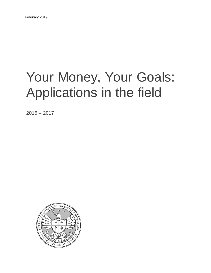# Your Money, Your Goals: Applications in the field

 $2016 - 2017$ 

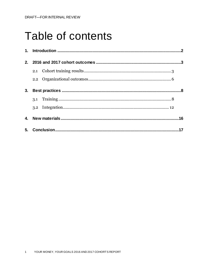## Table of contents

| 2.               |     |  |  |  |
|------------------|-----|--|--|--|
|                  | 2.1 |  |  |  |
|                  |     |  |  |  |
| 3.               |     |  |  |  |
|                  |     |  |  |  |
|                  |     |  |  |  |
| $\mathbf{A}_{-}$ |     |  |  |  |
|                  |     |  |  |  |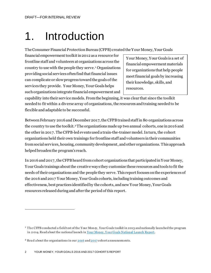# 1. Introduction

The Consumer Financial Protection Bureau (CFPB) created the Your Money, Your Goals

financial empowerment toolkit in 2012 as a resource for frontline staff and volunteers at organizations across the country to use with the people they serve. <sup>1</sup> Organizations providing social services often find that financial issues can complicate or slow progress toward the goals of the services they provide. Your Money, Your Goals helps such organizations integrate financial empowerment and

Your Money, Your Goals is a set of financial empowerment materials for organizations that help people meet financial goals by increasing their knowledge, skills, and resources.

capability into their service models. From the beginning, it was clear that since the toolkit needed to fit within a diverse array of organizations, the resources and training neededto be flexible and adaptable to be successful.

Between February 2016 and December 2017, the CFPB trained staff in 80 organizations across the country to use the toolkit.<sup>2</sup>The organizations made up two annual cohorts, one in 2016 and the other in 2017. The CFPB-led events used a train-the-trainer model. In turn, the cohort organizations held their own trainings for frontline staff and volunteers in their communities fromsocial services, housing, community development, and other organizations. This approach helped broaden the program's reach.

In 2016 and 2017, the CFPB heard from cohort organizations that participated in Your Money, Your Goals trainings about the creative ways they customize these resources and tools to fit the needs of their organizations and the people they serve. This reportfocuses on the experiences of the 2016 and 2017 Your Money, Your Goals cohorts, including training outcomes and effectiveness, best practices identified by the cohorts, and new Your Money, Your Goals resources released during and after the period of this report.

 $\overline{a}$ 

<sup>&</sup>lt;sup>1</sup> The CFPB conducted a field test of the Your Mon ey, Your Goals toolkit in 2013 and nationally launched the program in 2014. Read a bout the national launch in [Your Money, Your Goals National Launch Report](https://s3.amazonaws.com/files.consumerfinance.gov/f/documents/201608018_cfpb_report_ymyg_national-launch.pdf).

<sup>&</sup>lt;sup>2</sup> Read a bout the organizations in our  $\frac{2016}{100}$  and  $\frac{2017}{100}$  cohort a nnouncements.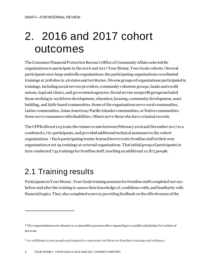# 2. 2016 and 2017 cohort outcomes

The Consumer Financial Protection Bureau's Office of Community Affairs selected 80 organizations to participate in the 2016 and 2017 Your Money, Your Goals cohorts. <sup>3</sup> Several participants were large umbrella organizations; the participating organizations coordinated trainings at 208sites in 46 states and territories. Diverse groups of organizations participated in trainings, including social service providers, community volunteer groups, banks and credit unions, legal aid clinics, and government agencies. Social service nonprofit groups included those working in workforce development, education, housing, community development, asset building, and faith-based communities. Some of the organizations serve rural communities, Latino communities, Asian American/Pacific Islander communities, or Native communities. Some serve consumers with disabilities. Others serve those who have criminal records.

The CFPBoffered 103 train-the-trainer events between February 2016 and December 2017 to a combined 2,761 participants, and provided additional technical assistance to the cohort organizations. <sup>4</sup> Eachparticipating trainer learned how to train frontline staff at their own organization or set up trainings at external organizations. That initial group of participants in turn conducted 734 trainings for frontline staff, reaching an additional 10,875 people.

## 2.1 Training results

l

Participants in Your Money, Your Goals training sessions for frontline staff completed surveys before and after the training to assess their knowledge of, confidence with, and familiarity with financial topics. They also completed a survey providing feedback onthe effectiveness of the

<sup>&</sup>lt;sup>3</sup> The organizations were chosen in a competitive process after responding to a public solicitation for Letters of In terest.

<sup>4</sup> A n additional 4,600 people participated in contractor -led direct-to-frontline trainings and webinars.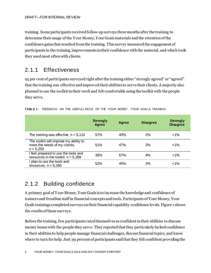training. Some participants received follow-up surveys three months after the training to determine their usage of the Your Money, Your Goals materials and the retention of the confidence gains that resulted from the training. This survey measured the engagement of participants in the training, improvements in their confidence with the material, and which tools they used most often with clients.

### 2.1.1 Effectiveness

95 per cent of participants surveyed right after the training either "strongly agreed" or "agreed" that the training was effective and improved their abilities to serve their clients. A majority also planned to use the toolkit in their work and felt comfortable using the toolkit with the people they serve.

|                                                                                        | <b>Strongly</b><br>Agree | Agree | <b>Disagree</b> | <b>Strongly</b><br><b>Disagree</b> |
|----------------------------------------------------------------------------------------|--------------------------|-------|-----------------|------------------------------------|
| The training was effective. $n = 5,113$                                                | 57%                      | 40%   | 2%              | $< 1\%$                            |
| The toolkit will improve my ability to<br>meet the needs of my clients.<br>$n = 5.250$ | 51%                      | 47%   | 2%              | $< 1\%$                            |
| I feel prepared to use the tools and<br>resources in the toolkit. $n = 5,289$          | 38%                      | 57%   | 4%              | $< 1\%$                            |
| plan to use the tools and<br>resources. $n = 5,280$                                    | 52%                      | 45%   | 2%              | $< 1\%$                            |

| <b>TABLE 1: FEEDBACK ON THE USEFULLNESS OF THE YOUR MONEY, YOUR GOALS TRAINING</b> |  |
|------------------------------------------------------------------------------------|--|

## 2.1.2 Building confidence

A primary goal of Your Money, Your Goals is to increase the knowledge and confidence of trainers and frontline staff in financial concepts and tools*.* Participants of Your Money, Your Goals trainings completed surveys on their financial capability confidence levels. Figure 1 shows the results of these surveys.

Before the training, few participants rated themselves as confident in their abilities to discuss money issues with the people they serve. They reported that they particularly lacked confidence in their abilities to help people manage financial challenges, discuss financial topics, and know where to turn for help. Just 39 percent of participants said that they felt confident providing the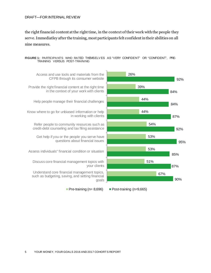#### DRAFT—FOR INTERNAL REVIEW

the right financial content at the right time, in the context of their work with the people they serve. Immediatley after the training, most participants felt confident in their abilities on all nine measures.



#### **FIGURE 1:** PARTICIPA NTS WHO RATED THEMSELV ES AS "VERY CONFIDENT" OR "CONFIDENT", PRE-TRAINING VERSUS POST-TRAINING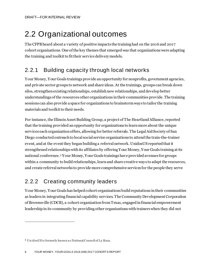## 2.2 Organizational outcomes

The CFPBheard about a variety of positive impacts the training had on the 2016 and 2017 cohort organizations. One of the key themes that emerged was that organizations were adapting the training and toolkit to fit their service delivery models.

## 2.2.1 Building capacity through local networks

Your Money, Your Goals trainings provide an opportunity for nonprofits, government agencies, and private sector groups to network and share ideas. At the trainings, groups can break down silos, strengthen existing relationships, establish new relationships, and develop better understandings of the resources other organizations in their communities provide. The training sessions can also provide a space for organizations to brainstorm ways to tailor the training materials and toolkit to their needs.

For instance, the Illinois Asset Building Group, a project of The Heartland Alliance, reported that the training provided an opportunity for organizations to learn more about the unique services each organization offers, allowing for better referrals. The Legal Aid Society of San Diego conducted outreach to local social service organizations to attend the train-the-trainer event, and at the event they began building a referral network. UnidosUS reported that it strengthened relationships with its affiliates by offering Your Money, Your Goals training at its national conference. <sup>5</sup> Your Money, Your Goals trainings have provided avenues for groups within a community to build relationships, learn and share creative ways to adapt the resources, and create referral networks to provide more comprehensive services for the people they serve

## 2.2.2 Creating community leaders

Your Money, Your Goals has helped cohort organizations build reputations in their communities as leaders in integrating financial capability services. The Community Development Corporation of Brownsville (CDCB), a cohort organization from Texas, engaged in financial empowerment leadership in its community by providing other organizations with trainerswhen they did not

 $\overline{a}$ 

<sup>5</sup> Un idosUS is formerly known a s National Council of La Raza.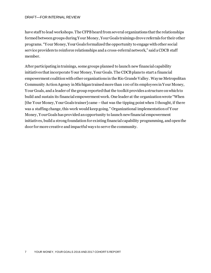have staff to lead workshops. The CFPB heard from several organizations that the relationships formed between groups duringYour Money, Your Goals trainings drove referrals for their other programs. "Your Money, Your Goals formalized the opportunity to engage with other social service providers to reinforce relationships and a cross-referral network," said a CDCB staff member.

After participating in trainings, some groups planned to launch new financial capability initiatives that incorporate Your Money, Your Goals. The CDCB plans to start a financial empowerment coalition with other organizations in the Rio Grande Valley. Wayne Metropolitan Community Action Agency in Michigantrained more than 100 of its employees in Your Money, Your Goals, and a leader of the group reported that the toolkit provides a structure on which to build and sustain its financial empowerment work. One leader at the organization wrote "When [the Your Money, Your Goals trainer] came – that was the tipping point when I thought, if there was a staffing change, this work would keep going." Organizational implementation of Your Money, Your Goals has provided an opportunity to launch new financial empowerment initiatives, build a strong foundation for existing financial capability programming, and open the door for more creative and impactful ways to serve the community.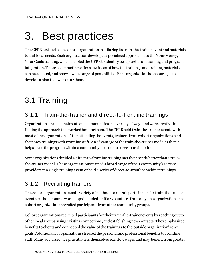# 3. Best practices

The CFPBassisted each cohort organization in tailoring its train-the-trainer event and materials to suit local needs. Each organization developed specialized approaches to the Your Money, Your Goals training, which enabled the CFPBto identify best practices in training and program integration. These best practices offer a few ideas of how the trainings and training materials can be adapted, and show a wide range of possibilities. Each organization is encouraged to develop a plan that works for them.

## 3.1 Training

## 3.1.1 Train-the-trainer and direct-to-frontline trainings

Organizations trained their staff and communities in a variety of ways and were creative in finding the approach that worked best for them. The CFPB held train-the-trainer events with most of the organizations. After attending the events, trainers fromcohort organizationsheld their own trainings with frontline staff. Anadvantage of the train-the-trainer model is that it helps scale the programwithin a community in order to serve more individuals.

Some organizations decided a direct-to-frontline training met their needs better than a trainthe-trainer model. These organizations trained a broad range of their community's service providers in a single training event or held a series of direct-to-frontline webinar trainings.

## 3.1.2 Recruiting trainers

The cohort organizations used a variety of methods to recruit participants for train-the-trainer events. Although some workshops included staff or volunteers from only one organization, most cohort organizations recruited participants from other community groups.

Cohort organizations recruited participants for their train-the-trainer events by reaching out to other local groups, using existing connections, and establishing new contacts. They emphasized benefits to clients and connected the value of the trainings to the outside organization's own goals.Additionally, organizations stressed the personal and professional benefits to frontline staff. Many social service practitioners themselves earnlow wages and may benefit from greater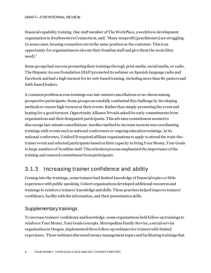#### DRAFT—FOR INTERNAL REVIEW

financial capability training. One staff member of The WorkPlace, a workforce development organization in Southwestern Connecticut, said, "Many nonprofit [practitioners] are struggling. In some cases, housing counselors are in the same position as the customer. This is an opportunity for organizations to elevate their frontline staff and give them the tools [they need]."

Some groups had success promoting their trainings through print media, social media, or radio. The Hispanic Access Foundation (HAF) promoted its webinar on Spanish-language radio and Facebook and had a high turnout for its web-based training, includingmore than 80 pastors and faith-based leaders.

A common problem across trainings was last-minute cancellations or no-shows among prospective participants. Some groups successfully combatted this challenge by developing methods to ensure high turnout at their events. Rather thansimply promoting the event and hoping for a good turnout, Opportunity Alliance Nevada asked for early commitments from organizations and their designated participants. This advance commitment seemed to discourage last-minute cancellations. Another method to increase turnout was coordinating trainings with events such as national conferences or ongoing education trainings. At its national conference, UnidosUS required affiliate organizations to apply to attend the train-thetrainer event and selected participants based on their capacity to bring Your Money, Your Goals to large numbers of frontline staff. This selection process emphasizedthe importance of the training and ensured commitment from participants.

### 3.1.3 Increasing trainer confidence and ability

Coming into the trainings, some trainers had limited knowledge of financial topics or little experience with public speaking. Cohort organizations developed additional resources and trainings to reinforce trainers' knowledge and skills. These practices helped improve trainers' confidence, facility with the information, and their presentation skills.

#### Supplementary trainings

To increase trainers' confidence and knowledge, some organizations held follow-up trainings to reinforce Your Money, Your Goals concepts. Metropolitan Family Service, a social service organization in Oregon, implemented three follow-up webinars for trainers with limited experience. These webinars discussed money management topics and facilitating trainings that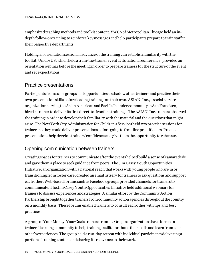#### DRAFT—FOR INTERNAL REVIEW

emphasized teaching methods and toolkit content. YWCA of Metropolitan Chicago held an indepth follow-on training to reinforce key messages and help participants prepare to train staff in their respective departments.

Holding an orientation session in advance of the training can establish familiarity with the toolkit. UnidosUS, which held a train-the-trainer event at its national conference, provided an orientation webinar before the meeting in order to prepare trainers for the structure of the event and set expectations.

#### Practice presentations

Participants from some groups had opportunities to shadow other trainers and practice their own presentation skills before leading trainings on their own. ASIAN, Inc., a social service organization serving the Asian American and Pacific Islander community in San Francisco, hired a trainer to deliver its first direct-to-frontline trainings. The ASIAN, Inc.trainers observed the training in order to develop their familiarity with the material and the questions that might arise. The New York City Administration for Children's Services held two practice sessions for trainers so they could deliver presentations before going to frontline practitioners. Practice presentations help develop trainers' confidence and give them the opportunity to rehearse.

#### Opening communication between trainers

Creating spaces for trainers to communicate after the events helped build a sense of camaraderie and gave them a place to seek guidance from peers. The Jim Casey Youth Opportunities Initiative, an organization with a national reach that works with young people who are in or transitioning from foster care, created an email listserv for trainers to ask questions and support each other. Web-based forums such as Facebook groups provided channels for trainers to communicate. The Jim Casey Youth Opportunities Initiative held additional webinars for trainers to discuss experiences and strategies. A similar effort by the Community Action Partnership brought together trainers from community action agencies throughout the country on a monthly basis. These forums enabled trainers to consult each other with tips and best practices.

A group of Your Money, Your Goals trainers from six Oregon organizations have formed a trainers' learning community to help training facilitators hone their skills and learn from each other's experiences. The group held a two-day retreat withindividual participants delivering a portion of training content and sharing its relevance to their work.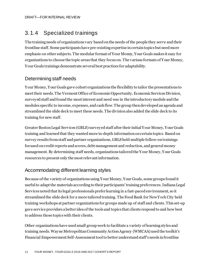## 3.1.4 Specialized trainings

The training needs of organizations vary based on the needs of the people they serve and their frontline staff. Some participants have pre-existing expertise in certain topics but need more emphasis on other subjects. The modular format of Your Money, Your Goals makes it easy for organizations to choose the topic areas that they focus on. The various formats of Your Money, Your Goals trainings demonstrate several best practices for adaptability.

### Determining staff needs

Your Money, Your Goals gave cohort organizations the flexibility to tailor the presentations to meet their needs. The Vermont Office of Economic Opportunity, Economic Services Division, surveyed staff and found the most interest and need was in the introductory module and the modules specific to income, expenses, and cash flow. The group then developed an agenda and streamlined the slide deck to meet these needs. The divisionalso added the slide deck to its training for new staff.

Greater Boston Legal Services (GBLS) surveyed staff after their initial Your Money, Your Goals training and learned that they wanted more in-depth information on certain topics. Based on survey results from staff and partner organizations, GBLS held multiple follow-on trainings focused on credit reports and scores, debt management and reduction, and general money management. By determining staff needs, organizations tailored the Your Money, Your Goals resources to present only the most relevant information.

### Accommodating different learning styles

Because of the variety of organizations using Your Money, Your Goals, some groups found it useful to adapt the materials according to their participants' training preferences.Indiana Legal Services noted that its legal professionals prefer learning in a fast-paced environment, so it streamlined the slide deck for a more tailored training. The Food Bank for New York City held training workshops at partner organizations for groups made up of staff and clients. This set-up gave service providers a better idea of the tools and topics that clients respond to and how best to address those topics with their clients.

Other organizations have used small group work to facilitate a variety of learning styles and training needs. Wayne Metropolitan Community Action Agency (WMCAA) used the toolkit's Financial Empowerment Self-Assessment tool to better understand staff's needs in frontline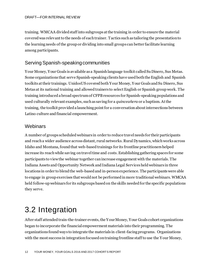training. WMCAA divided staff into subgroups at the training in order to ensure the material covered was relevant to the needs of each trainer. Tactics such as tailoring the presentation to the learning needs of the group or dividing into small groups can better facilitate learning among participants.

### Serving Spanish-speaking communities

Your Money, Your Goals is available as a Spanish language toolkit called Su Dinero, Sus Metas. Some organizations that serve Spanish-speaking clients have used both the English and Spanish toolkits at their trainings. UnidosUS covered bothYour Money, Your Goals and Su Dinero, Sus Metas at its national training and allowed trainers to select English or Spanish group work. The training introduced a broad spectrum of CFPBresources for Spanish-speaking populations and used culturally relevant examples, such as saving for a *quinceañera* or a baptism. At the training, the toolkit provided a launching point for a conversation about intersections between Latino culture and financial empowerment.

#### **Webinars**

A number of groups scheduled webinars in order to reduce travel needs for their participants and reach a wider audience across distant, rural networks. Rural Dynamics, which works across Idaho and Montana, found that web-based trainings for its frontline practitioners helped increase its reach while saving on travel time and costs. Establishing gathering spaces for some participants to view the webinar together can increase engagement with the materials. The Indiana Assets and Opportunity Network and Indiana Legal Services held webinars in three locations in order to blend the web-based and in-person experience. The participants were able to engage in group exercises that would not be performed inmore traditional webinars. WMCAA held follow-up webinars for its subgroups based on the skills needed for the specific populations they serve.

## 3.2 Integration

After staff attended train-the-trainer events, the Your Money, Your Goals cohort organizations began to incorporate the financial empowerment materials into their programming. The organizations found ways to integrate the materials in client-facing programs. Organizations with the most success in integration focused on training frontline staff to use the Your Money,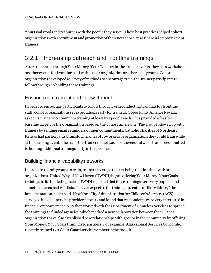Your Goals tools and resources with the people they serve. These best practices helped cohort organizations with recruitment and promotion of their new capacity as financial empowerment trainers.

### 3.2.1 Increasing outreach and frontline trainings

After trainers go through Your Money, Your Goals train-the-trainer events, they plan workshops or other events for frontline staff within their organization or other local groups. Cohort organizations developed a variety of methods to encourage train-the-trainer participants to follow through on holding these trainings.

#### Ensuring commitment and follow-through

In order to encourage participants to follow through with conducting trainings for frontline staff, cohort organizations set expectations early for trainers. Opportunity Alliance Nevada asked its trainers to commit to training at least five people each. This provided a feasible baseline target for the organization based on the cohort timeframe. The group followed up with trainers by sending email reminders of their commitments. Catholic Charities of Northeast Kansas had participants brainstorm names of coworkers or organizations they could train while at the training event. The train-the-trainer model was most successful when trainers committed to holding additional trainings early in the process.

#### Building financial capability networks

In order to recruit groups to train, trainers leverage their existing relationships with other organizations. United Way of New Haven (UWNH)began offering Your Money, Your Goals trainings to its funded agencies. UWNH reportedthat these trainings were very popular and sometimes even had waitlists. "I never expected the trainings to catch on like wildfire," the implementation leader said. New York City Administration for Children's Services (ACS) surveyed its social service provider network and found that respondents were very interested in financial empowerment. ACS then worked with the Department of Homeless Services to spread the trainings to funded agencies, which marked a new collaboration between them. Other organizations have also established new relationships with groups in the community by offering Your Money, Your Goals trainings to partners. For example, Alaska Legal Services Corporation recently trained 120 Coast Guard servicemembers in the toolkit.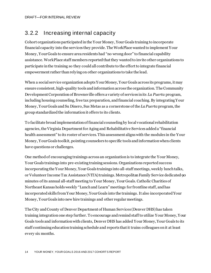### 3.2.2 Increasing internal capacity

Cohort organizations participatedin the Your Money, Your Goals training to incorporate financial capacity into the services they provide. The WorkPlace wanted to implement Your Money, Your Goals to ensure area residents had "no wrong door" to financial capability assistance. WorkPlace staff members reported that they wanted to invite other organizations to participate in the training so they could all contribute to the effort to integrate financial empowerment rather than relying on other organizations to take the lead.

When a social service organization adopts Your Money, Your Goals across its programs, it may ensure consistent, high-quality tools and information across the organization. The Community Development Corporation of Brownsville offers a variety of services in its *La Puerta* program, including housing counseling, free tax preparation, and financial coaching. By integrating Your Money, Your Goals and Su Dinero, Sus Metas as a cornerstone of the *La Puerta* program, the group standardized the information it offers to its clients.

To facilitate broad implementation of financial counseling by local vocational rehabilitation agencies, the Virginia Department for Aging and Rehabilitative Services added a "financial health assessment" to its roster of services. This assessment aligns with the modules in the Your Money, Your Goals toolkit, pointing counselors to specific tools and information when clients have questions or challenges.

One method of encouraging trainings across an organization is to integrate the Your Money, Your Goals trainings into pre-existing training sessions. Organizations reported success incorporating the Your Money, Your Goals trainings into all-staff meetings, weekly lunch talks, or Volunteer Income Tax Assistance (VITA) trainings. Metropolitan Family Service dedicated 90 minutes of its annual all-staff meeting to Your Money, Your Goals. Catholic Charities of Northeast Kansas holds weekly "Lunch and Learn" meetings for frontline staff, and has incorporated skills from Your Money, Your Goals into the trainings. It also incorporated Your Money, Your Goals into new hire trainings and other regular meetings.

The City and County of Denver Department of Human Services (Denver DHS) has taken training integration one step further. To encourage and remind staff to utilize Your Money, Your Goals tools and information with clients, Denver DHS has added Your Money, Your Goals to its staff continuing education training schedule and reports that it trains colleagues on it at least every six months.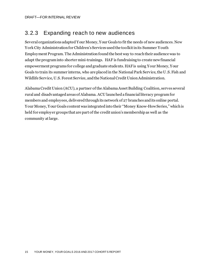## 3.2.3 Expanding reach to new audiences

Several organizations adapted Your Money, Your Goals to fit the needs of new audiences. New York City Administration for Children's Services used the toolkit in its Summer Youth Employment Program. The Administration found the best way to reach their audience was to adapt the program into shorter mini-trainings. HAF is fundraising to create new financial empowerment programs for college and graduate students. HAF is using Your Money, Your Goals to train its summer interns, who are placed in the National Park Service, the U.S. Fish and Wildlife Service, U.S. Forest Service, and the National Credit Union Administration.

Alabama Credit Union (ACU), a partner of the Alabama Asset Building Coalition, serves several rural and disadvantaged areas of Alabama. ACU launcheda financial literacy programfor members and employees, delivered through its network of 27 branches and its online portal. Your Money, Your Goals content was integrated into their "Money Know-How Series," which is held for employer groups that are part of the credit union's membership as well as the community at large.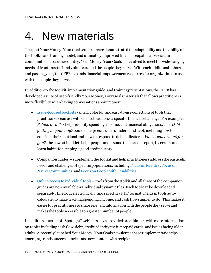## 4. New materials

The past Your Money, Your Goals cohorts have demonstrated the adaptability and flexibility of the toolkit and training model, and ultimately improved financial capability services in communities across the country. Your Money, Your Goals has evolved to meet the wide-ranging needs of frontline staff and volunteers and the people they serve. With each additional cohort and passing year, the CFPB expands financial empowerment resources for organizations to use with the people they serve.

In addition to the toolkit, implementation guide, and training presentations, the CFPB has developed a suite of user-friendly Your Money, Your Goals materials that allows practitioners more flexibility when having conversations about money:

- [Issue-focused booklets](https://www.consumerfinance.gov/practitioner-resources/your-money-your-goals/issue-focused-tools/) small, colorful, and easy-to-use collections of tools that practitioners can use with clients to address a specific financial challenge. For example, *Behind on bills?* helps identify spending, income, and financial obligations. The *Debt getting in your way?* booklet helps consumers understand debt, including how to consider their debt load and how to respond to debt collectors. *Want credit to work for you?*, the newest booklet, helps people understand their credit report, fix errors, and learn habits for keeping a good credit history.
- Companion guides supplement the toolkit and help practitioners address the particular needs and challenges of specific populations, includin[g Focus on Reentry](https://s3.amazonaws.com/files.consumerfinance.gov/f/documents/201703_YMYG_Focus-on-Reentry.pdf)[, Focus on](http://files.consumerfinance.gov/f/201611_cfpb_YMYG_Native-Communities.pdf)  [Native Communities,](http://files.consumerfinance.gov/f/201611_cfpb_YMYG_Native-Communities.pdf) an[d Focus on People with Disabilities.](https://www.consumerfinance.gov/documents/5306/cfpb_ymyg_focus-on-people-with-disabilities.pdf)
- $\bullet$  [Online access to individual tools](mailto:https://www.consumerfinance.gov/practitioner-resources/your-money-your-goals/toolkit/) tools from the ttolkit and all three of the companion guides are now available as individual dynamic files. Each tool can be downloaded separately, filled out electronically, and saved in a PDF format. Fields in tools autocalculate, to make tracking spending, income, and cash flow simpler to do. This makes it easier for practitioners to share relevant information with the people they serve and makes the tools accessible to a greater number of people.

In addition, a series of "Spotlight" webinars have provided practitioners with more information on topics including cash flow, debt, credit, identity theft, prepaid cards, and issues facing older adults. A recently launched Your Money, Your Goals newsletter shares implementation tips, emerging trends, success stories, and new content with recipients.